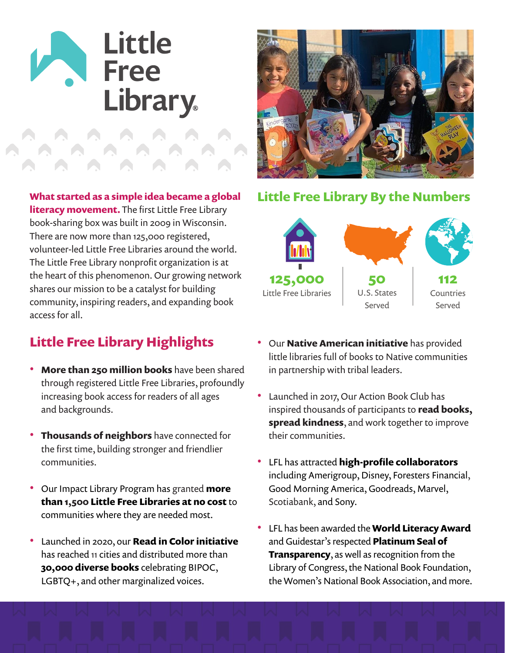

**What started as a simple idea became a global** 

**literacy movement.** The first Little Free Library book-sharing box was built in 2009 in Wisconsin. There are now more than 125,000 registered, volunteer-led Little Free Libraries around the world. The Little Free Library nonprofit organization is at the heart of this phenomenon. Our growing network shares our mission to be a catalyst for building community, inspiring readers, and expanding book access for all.

## **Little Free Library Highlights**

- **More than 250 million books** have been shared through registered Little Free Libraries, profoundly increasing book access for readers of all ages and backgrounds.
- **Thousands of neighbors** have connected for the first time, building stronger and friendlier communities.
- Our Impact Library Program has granted **more than 1,500 Little Free Libraries at no cost** to communities where they are needed most.
- Launched in 2020, our **Read in Color initiative** has reached 11 cities and distributed more than **30,000 diverse books** celebrating BIPOC, LGBTQ+, and other marginalized voices.



## **Little Free Library By the Numbers**



- Our **Native American initiative** has provided little libraries full of books to Native communities in partnership with tribal leaders.
- Launched in 2017, Our Action Book Club has inspired thousands of participants to **read books, spread kindness**, and work together to improve their communities.
- LFL has attracted **high-profile collaborators** including Amerigroup, Disney, Foresters Financial, Good Morning America, Goodreads, Marvel, Scotiabank, and Sony.
- LFL has been awarded the **World Literacy Award** and Guidestar's respected **Platinum Seal of Transparency**, as well as recognition from the Library of Congress, the National Book Foundation, the Women's National Book Association, and more.